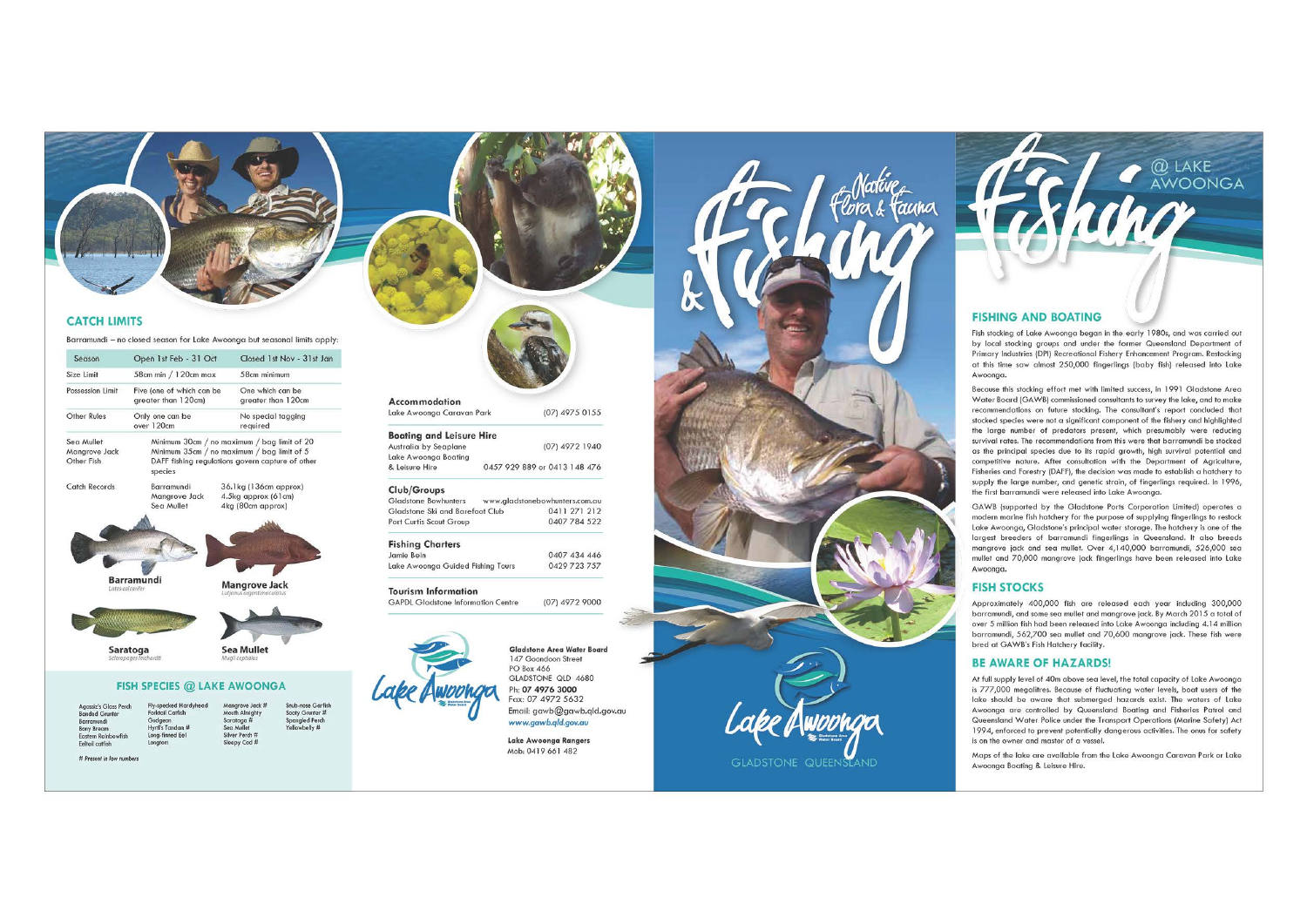

## **CATCH LIMITS**

Barramundi - no closed season for Lake Awoonga but seasonal limits apply:

| Season                                                | Open 1st Feb - 31 Oct                                                                                                                                    |                                                                   | Closed 1st Nov - 31st Jan            |
|-------------------------------------------------------|----------------------------------------------------------------------------------------------------------------------------------------------------------|-------------------------------------------------------------------|--------------------------------------|
| Size Limit                                            | 58cm min / 120cm max                                                                                                                                     | 58cm minimum                                                      |                                      |
| Possession Limit                                      | Five (one of which can be<br>greater than 120cm)                                                                                                         | One which can be<br>greater than 120cm                            |                                      |
| Other Rules                                           | Only one can be<br>over 120cm                                                                                                                            | No special tagging<br>required                                    |                                      |
| Sea Mullet<br><b>Manarove Jack</b><br>Other Fish      | Minimum 30cm / no maximum / bag limit of 20<br>Minimum 35cm / no maximum / bag limit of 5<br>DAFF fishing regulations govern capture of other<br>species |                                                                   |                                      |
| Catch Records                                         | Barramundi<br>Mangrove Jack<br>Sea Mullet                                                                                                                | 36.1kg (136cm approx)<br>4.5kg approx (61cm)<br>4kg (80cm approx) |                                      |
|                                                       | <b>Barramundi</b><br>Lates calcarifer                                                                                                                    | Mangrove Jack<br>Lutjanus argentimaculatus                        |                                      |
|                                                       |                                                                                                                                                          |                                                                   |                                      |
| Saratoga<br>Scleropages leichardti                    |                                                                                                                                                          | <b>Sea Mullet</b><br>Mugil cephalus                               |                                      |
|                                                       | <b>FISH SPECIES @ LAKE AWOONGA</b>                                                                                                                       |                                                                   |                                      |
| <b>Agassiz's Glass Perch</b><br><b>Banded Grunter</b> | <b>Fly-specked Hardyhead</b><br>Forktail Catfish                                                                                                         | Manarove Jack #<br>Mouth Almighty                                 | Snub-nose Garfish<br>Sooty Grunter # |

Accommodation Lake Awoonga Caravan Park (07) 4975 0155

**Boating and Leisure Hire** Australia by Seaplane (07) 4972 1940 Lake Awoonaa Boating 0457 929 889 or 0413 148 476 & Leisure Hire

### Club/Groups

Gladstone Bowbunters www.gladstonebowhunters.com.au Gladstone Ski and Barefoot Club 0411 271 212 Port Curtis Scout Group 0407 784 522

## **Fishing Charters**

0407 434 446 Jamie Bein Lake Awoonaa Guided Fishing Tours 0429 723 757

#### **Tourism Information**

GAPDL Gladstone Information Centre (07) 4972 9000



Mob: 0419 661 482



## **FISHING AND BOATING**

Fish stocking of Lake Awoonga began in the early 1980s, and was carried out by local stocking groups and under the former Queensland Department of Primary Industries (DPI) Recreational Fishery Enhancement Program. Restocking at this time saw almost 250,000 finaerlings (baby fish) released into Lake Awoongg,

 $@$  LAKE AWOONGA

Because this stocking effort met with limited success, in 1991 Gladstone Area Water Board (GAWB) commissioned consultants to survey the lake, and to make recommendations on future stocking. The consultant's report concluded that stocked species were not a significant component of the fishery and highlighted the large number of predators present, which presumably were reducing survival rates. The recommendations from this were that barramundi be stocked as the principal species due to its rapid arowth, high survival potential and competitive nature. After consultation with the Department of Agriculture. Fisheries and Forestry (DAFF), the decision was made to establish a hatchery to supply the large number, and genetic strain, of fingerlings required. In 1996, the first barramundi were released into Lake Awoonga.

GAWB (supported by the Gladstone Ports Corporation Limited) operates a modern marine fish hatchery for the purpose of supplying fingerlings to restock Lake Awoonga, Gladstone's principal water storage. The hatchery is one of the largest breeders of barramundi fingerlings in Queensland. It also breeds mangrove jack and sea mullet. Over 4,140,000 barramundi, 526,000 sea mullet and 70,000 mangrove jack fingerlings have been released into Lake Awoongg.

## **FISH STOCKS**

Approximately 400,000 fish are released each year including 300,000 barramundi, and some sea mullet and mangrove jack. By March 2015 a total of over 5 million fish had been released into Lake Awoonga including 4.14 million barramundi, 562,700 sea mullet and 70,600 mangrove jack. These fish were bred at GAWB's Fish Hatchery facility.

### **BE AWARE OF HAZARDS!**

At full supply level of 40m above sea level, the total capacity of Lake Awoonga is 777,000 megalitres. Because of fluctuating water levels, boat users of the lake should be aware that submerged hazards exist. The waters of Lake Awoonga are controlled by Queensland Boating and Fisheries Patrol and Queensland Water Police under the Transport Operations (Marine Safety) Act 1994, enforced to prevent potentially dangerous activities. The onus for safety is on the owner and master of a vessel.

Maps of the lake are available from the Lake Awoonga Caravan Park or Lake Awoonga Boating & Leisure Hire.



Guageon<br>Hyrtl's Tandan #

Longton

Saratoga #<br>Sea Mullet<br>Silver Perch # Spangled Perc<br>Yellowbelly # Sleepy Cod #